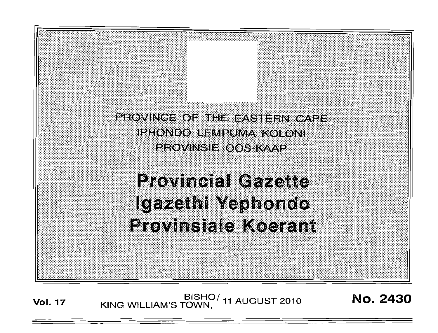PROVINCE OF THE EASTERN CAPE. **IPHONDO LEMPUMA KOLONI PROVINSIE OOS KAAP** 

# **Provincial Gazette** Igazethi Yephondo **Provinsiale Koerant**

BISHO/ 11 AUGUST 2010<br>KING WILLIAM'S TOWN, **Vol. 17** 

No. 2430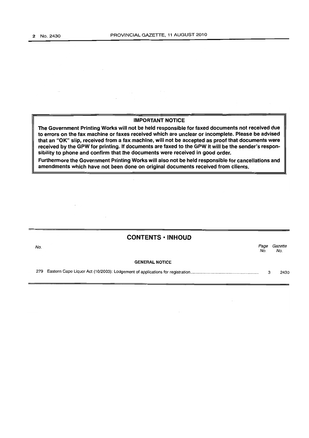$\sim$ 

 $\sim$ 

#### IMPORTANT NOTICE

 $\label{eq:2.1} \begin{split} \frac{1}{\sqrt{2\pi}}\left(\frac{1}{\sqrt{2\pi}}\right)^{1/2} &\frac{1}{\sqrt{2\pi}}\left(\frac{1}{\sqrt{2\pi}}\right)^{1/2} &\frac{1}{\sqrt{2\pi}}\left(\frac{1}{\sqrt{2\pi}}\right)^{1/2} &\frac{1}{\sqrt{2\pi}}\left(\frac{1}{\sqrt{2\pi}}\right)^{1/2} &\frac{1}{\sqrt{2\pi}}\left(\frac{1}{\sqrt{2\pi}}\right)^{1/2} &\frac{1}{\sqrt{2\pi}}\left(\frac{1}{\sqrt{2\pi}}\right)^{1$ 

The Government Printing Works will not be held responsible for faxed documents not received due to errors on the fax machine or faxes received which are unclear or incomplete. Please be advised that an "OK" slip, received from a fax machine, will not be accepted as proof that documents were received by the GPW for printing. If documents are faxed to the GPW it will be the sender's responsibility to phone and confirm that the documents were received in good order.

Furthermore the Government Printing Works will also not be held responsible for cancellations and amendments which have not been done on original documents received from clients.

|     | <b>CONTENTS • INHOUD</b> |             |                |  |  |
|-----|--------------------------|-------------|----------------|--|--|
| No. |                          | Page<br>No. | Gazette<br>No. |  |  |
|     | <b>GENERAL NOTICE</b>    |             |                |  |  |
|     |                          | з           | 2430           |  |  |

 $\mathcal{L}_{\mathcal{A}}$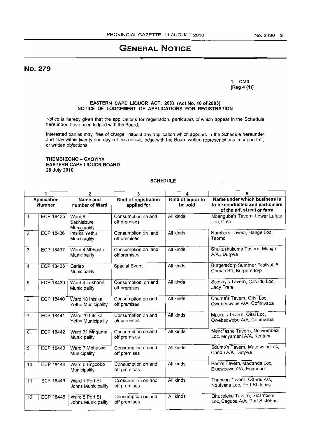## **GENERAL NOTICE**

No. 279

 $\lambda$ 

1. CM3 (Reg 4 (1)) .

#### EASTERN CAPE LIQUOR ACT, 2003 (Act No. 10 of 2003) NOTICE OF LODGEMENT OF APPLICATIONS FOR REGISTRATION

Notice is hereby given that the applications for registration, particulars of which appear in the Schedule hereunder, have been lodged with the Board.

Interested parties may, free of charge, inspect any application which appears in the Schedule hereunder and may within twenty one days of this notice, lodge with the Board written representations in support of, or written objections.

THEMBI ZONO - GXOYIYA EASTERN CAPE LIQUOR BOARD 28 July 2010

#### SCHEDULE

| 1                                   |                  | $\mathbf{2}$                          | 3                                   | 4                            | 5                                                                                             |  |
|-------------------------------------|------------------|---------------------------------------|-------------------------------------|------------------------------|-----------------------------------------------------------------------------------------------|--|
| <b>Application</b><br><b>Number</b> |                  | Name and<br>number of Ward            | Kind of registration<br>applied for | Kind of liquor to<br>be sold | Name under which business is<br>to be conducted and particulars<br>of the erf, street or farm |  |
| 1 <sub>1</sub>                      | <b>ECP 18435</b> | Ward 6<br>Sakhisizwe<br>Municipality  | Consumption on and<br>off premises  | All kinds                    | Mbanguba's Tavern, Lower Lufuta<br>Loc, Cala                                                  |  |
| $\overline{2}$ .                    | <b>ECP 18436</b> | Intsika Yethu<br>Municipality         | Consumption on and<br>off premises  | All kinds                    | Numbers Tavern, Hange Loc,<br>Tsomo                                                           |  |
| 3.                                  | <b>ECP 18437</b> | Ward 4 Mbhashe<br>Municipality        | Consumption on and<br>off premises  | All kinds                    | Shukushukuma Tavern, Mungu<br>A/A., Dutywa                                                    |  |
| 4 <sub>1</sub>                      | <b>ECP 18438</b> | Gariep<br>Municipality                | <b>Special Event</b>                | All kinds                    | Burgersdorp Summer Festival, 6<br>Church Str, Burgersdorp                                     |  |
| 5.                                  | <b>ECP 18439</b> | Ward 4 Lukhanji<br>Municipality       | Consumption on and<br>off premises  | All kinds                    | Sboshy's Tavern, Cacadu Loc,<br>Lady Frere                                                    |  |
| 6.                                  | <b>ECP 18440</b> | Ward 18 Intsika<br>Yethu Municipality | Consumption on and<br>off premises  | All kinds                    | Chuma's Tavern, Qitsi Loc,<br>Qwebeqwebe A/A, Cofimvaba                                       |  |
| 7 <sub>1</sub>                      | <b>ECP 18441</b> | Ward 19 Intsika<br>Yethu Municipality | Consumption on and<br>off premises  | All kinds                    | Mpura's Tavern, Qitsi Loc,<br>Qwebeqwebe A/A, Cofimvaba                                       |  |
| $\overline{8}$ .                    | <b>ECP 18442</b> | Ward 31 Mnquma<br>Municipality        | Consumption on and<br>off premises  | All kinds                    | Mancilashe Tavern, Nonyembezi<br>Loc, Mnyameni A/A, Kentani                                   |  |
| 9.                                  | <b>ECP 18443</b> | Ward 7 Mbhashe<br>Municipality        | Consumption on and<br>off premises  | All kinds                    | Sdumo's Tavern, Matolweni Loc,<br>Candu A/A, Dutywa                                           |  |
| 10.                                 | <b>ECP 18444</b> | Ward 5 Engcobo<br>Municipality        | Consumption on and<br>off premises  | All kinds                    | Pam's Tavern, Maganda Loc,<br>Elucwecwe A/A, Engcobo                                          |  |
| 11.                                 | <b>ECP 18445</b> | Ward 1 Port St<br>Johns Municipality  | Consumption on and<br>off premises  | All kinds                    | Thabang Tavern, Qandu A/A,<br>Nqutyana Loc, Port St Johns                                     |  |
| 12.                                 | <b>ECP 18446</b> | Ward 5 Port St<br>Johns Municipality  | Consumption on and<br>off premises  | All kinds                    | Qhubeleka Tavern, Sicambeni<br>Loc, Caguba A/A, Port St Johns                                 |  |